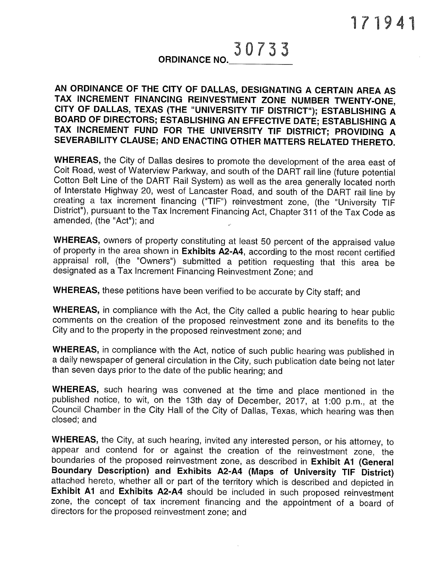## 30733 ORDINANCE NO.

## AN ORDINANCE OF THE CITY OF DALLAS, DESIGNATING <sup>A</sup> CERTAIN AREA AS TAX INCREMENT FINANCING REINVESTMENT ZONE NUMBER TWENTY-ONE, CITY OF DALLAS, TEXAS (THE "UNIVERSITY TIF DISTRICT"); ESTABLISHING <sup>A</sup> BOARD OF DIRECTORS; ESTABLISHING AN EFFECTIVE DATE; ESTABLISHING <sup>A</sup> TAX INCREMENT FUND FOR THE UNIVERSITY TIF DISTRICT; PROVIDING <sup>A</sup> SEVERABILITY CLAUSE; AND ENACTING OTHER MATTERS RELATED THERETO.

WHEREAS, the City of Dallas desires to promote the development of the area east of Colt Road, west of Waterview Parkway, and south of the DART rail line (future potential Cotton Belt Line of the DART Rail System) as well as the area generally located north of Interstate Highway 20, west of Lancaster Road, and south of the DART rail line by creating <sup>a</sup> tax increment financing ("TIE") reinvestment zone, (the "University TIF District"), pursuant to the Tax Increment Financing Act, Chapter <sup>311</sup> of the Tax Code as amended, (the "Act"); and

WHEREAS, owners of property constituting at least 50 percent of the appraised value of property in the area shown in Exhibits A2-A4, according to the most recent certified appraisal roll, (the "Owners") submitted <sup>a</sup> petition requesting that this area be designated as <sup>a</sup> Tax Increment Financing Reinvestment Zone; and

WHEREAS, these petitions have been verified to be accurate by City staff; and

WHEREAS, in compliance with the Act, the City called <sup>a</sup> public hearing to hear public comments on the creation of the proposed reinvestment zone and its benefits to the City and to the property in the proposed reinvestment zone; and

WHEREAS, in compliance with the Act, notice of such public hearing was published in <sup>a</sup> daily newspaper of general circulation in the City, such publication date being not later than seven days prior to the date of the public hearing; and

WHEREAS, such hearing was convened at the time and <sup>p</sup>lace mentioned in the published notice, to wit, on the 13th day of December, 2017, at 1:00 p.m., at the Council Chamber in the City Hall of the City of Dallas, Texas, which hearing was then closed; and

WHEREAS, the City, at such hearing, invited any interested person, or his attorney, to appear and contend for or against the creation of the reinvestment zone, the boundaries of the proposed reinvestment zone, as described in Exhibit A1 (General Boundary Description) and Exhibits A2-A4 (Maps of University TIE District) attached hereto, whether all or part of the territory which is described and depicted in Exhibit A1 and Exhibits A2-A4 should be included in such proposed reinvestment zone, the concept of tax increment financing and the appointment of <sup>a</sup> board of directors for the proposed reinvestment zone; and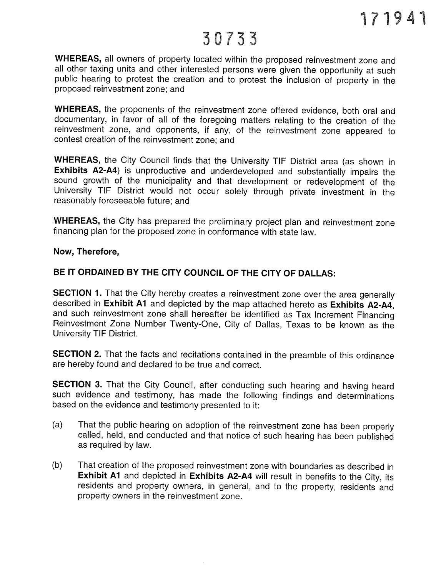WHEREAS, all owners of property located within the proposed reinvestment zone and all other taxing units and other interested persons were <sup>g</sup>iven the opportunity at such public hearing to protest the creation and to protest the inclusion of property in the proposed reinvestment zone; and

WHEREAS, the proponents of the reinvestment zone offered evidence, both oral and documentary, in favor of all of the foregoing matters relating to the creation of the reinvestment zone, and opponents, if any, of the reinvestment zone appeared to contest creation of the reinvestment zone; and

WHEREAS, the City Council finds that the University TIF District area (as shown in Exhibits A2-A4) is unproductive and underdeveloped and substantially impairs the sound growth of the municipality and that development or redevelopment of the University TIE District would not occur solely through private investment in the reasonably foreseeable future; and

WHEREAS, the City has prepared the preliminary project plan and reinvestment zone financing plan for the proposed zone in conformance with state law.

#### Now, Therefore,

## BE IT ORDAINED BY THE CITY COUNCIL OF THE CITY OF DALLAS:

SECTION 1. That the City hereby creates a reinvestment zone over the area generally described in Exhibit A1 and depicted by the map attached hereto as Exhibits A2-A4, and such reinvestment zone shall hereafter be identified as Tax Increment Einancing Reinvestment Zone Number Twenty-One, City of Dallas, Texas to be known as the University TIF District.

SECTION 2. That the facts and recitations contained in the preamble of this ordinance are hereby found and declared to be true and correct.

SECTION 3. That the City Council, after conducting such hearing and having heard such evidence and testimony, has made the following findings and determinations based on the evidence and testimony presented to it:

- (a) That the public hearing on adoption of the reinvestment zone has been properly called, held, and conducted and that notice of such hearing has been published as required by law.
- (b) That creation of the proposed reinvestment zone with boundaries as described in Exhibit A1 and depicted in Exhibits A2-A4 will result in benefits to the City, its residents and property owners, in general, and to the property, residents and property owners in the reinvestment zone.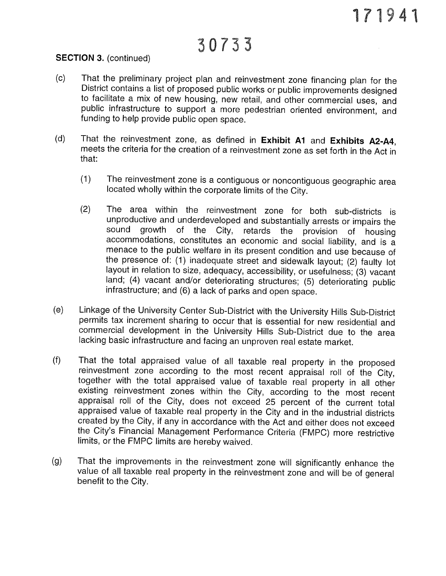### SECTION 3. (continued)

- (c) That the preliminary project <sup>p</sup>lan and reinvestment zone financing <sup>p</sup>lan for the District contains <sup>a</sup> list of proposed public works or public improvements designed to facilitate <sup>a</sup> mix of new housing, new retail, and other commercial uses, and public infrastructure to support <sup>a</sup> more pedestrian oriented environment, and funding to help provide public open space.
- (d) That the reinvestment zone, as defined in Exhibit A1 and Exhibits A2-A4, meets the criteria for the creation of <sup>a</sup> reinvestment zone as set forth in the Act in that:
	- (1) The reinvestment zone is <sup>a</sup> contiguous or noncontiguous geographic area located wholly within the corporate limits of the City.
	- (2) The area within the reinvestment zone for both sub-districts is unproductive and underdeveloped and substantially arrests or impairs the sound growth of the City. retards the provision of housing retards the provision of housing accommodations, constitutes an economic and social liability, and is <sup>a</sup> menace to the public welfare in its present condition and use because of the presence of: (1) inadequate street and sidewalk layout; (2) faulty lot layout in relation to size, adequacy, accessibility, or usefulness; (3) vacant land; (4) vacant and/or deteriorating structures; (5) deteriorating public infrastructure; and (6) <sup>a</sup> lack of parks and open space.
- (e) Linkage of the University Center Sub-District with the University Hills Sub-District permits tax increment sharing to occur that is essential for new residential and commercial development in the University Hills Sub-District due to the area lacking basic infrastructure and facing an unproven real estate market.
- (f) That the total appraised value of all taxable real property in the proposed reinvestment zone according to the most recent appraisal roll of the City, together with the total appraised value of taxable real property in all other existing reinvestment zones within the City, according to the most recent appraisal roll of the City, does not exceed <sup>25</sup> percent of the current total appraised value of taxable real property in the City and in the industrial districts created by the City, if any in accordance with the Act and either does not exceed the City's Financial Management Performance Criteria (FMPC) more restrictive limits, or the FMPC limits are hereby waived.
- (g) That the improvements in the reinvestment zone will significantly enhance the value of all taxable real property in the reinvestment zone and will be of general benefit to the City.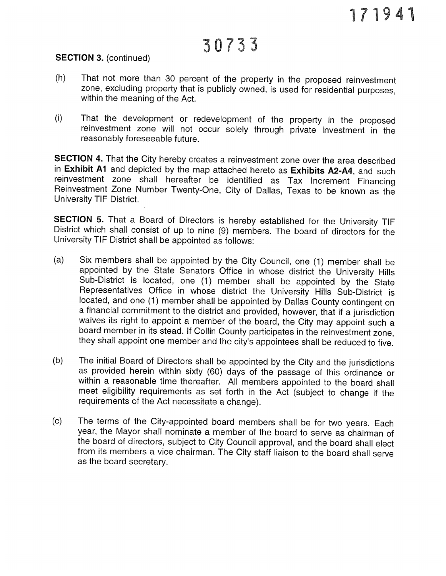#### SECTION 3. (continued)

- (h) That not more than <sup>30</sup> percent of the property in the proposed reinvestment zone, excluding property that is publicly owned, is used for residential purposes, within the meaning of the Act.
- (i) That the development or redevelopment of the property in the proposed reinvestment zone will not occur solely through private investment in the reasonably foreseeable future.

SECTION 4. That the City hereby creates <sup>a</sup> reinvestment zone over the area described in Exhibit A1 and depicted by the map attached hereto as Exhibits A2-A4, and such reinvestment zone shall hereafter be identified as Tax Increment Financing Reinvestment Zone Number Twenty-One, City of Dallas, Texas to be known as the University TIE District.

SECTION 5. That a Board of Directors is hereby established for the University TIF District which shall consist of up to nine (9) members. The board of directors for the University TIE District shall be appointed as follows:

- (a) Six members shall be appointed by the City Council, one (1) member shall be appointed by the State Senators Office in whose district the University Hills Sub-District is located, one (1) member shall be appointed by the State Representatives Office in whose district the University Hills Sub-District is located, and one (1) member shall be appointed by Dallas County contingent on <sup>a</sup> financial commitment to the district and provided, however, that if <sup>a</sup> jurisdiction waives its right to appoint <sup>a</sup> member of the board, the City may appoint such <sup>a</sup> board member in its stead. If CoIlin County participates in the reinvestment zone, they shall appoint one member and the city's appointees shall be reduced to five.
- (b) The initial Board of Directors shall be appointed by the City and the jurisdictions as provided herein within sixty (60) days of the passage of this ordinance or within <sup>a</sup> reasonable time thereafter. All members appointed to the board shall meet eligibility requirements as set forth in the Act (subject to change if the requirements of the Act necessitate <sup>a</sup> change).
- (c) The terms of the City-appointed board members shall be for two years. Each year, the Mayor shall nominate <sup>a</sup> member of the board to serve as chairman of the board of directors, subject to City Council approval, and the board shall elect from its members <sup>a</sup> vice chairman. The City staff liaison to the board shall serve as the board secretary.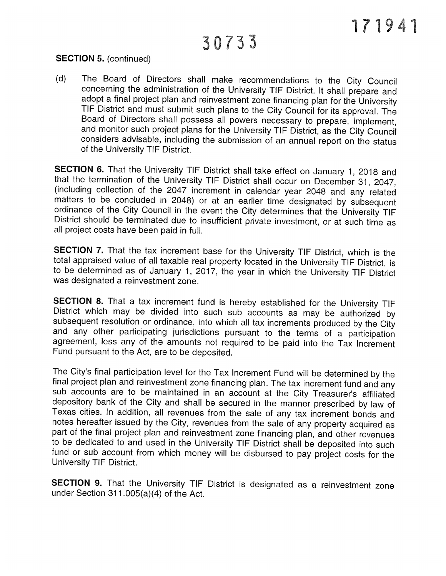## 30733

#### SECTION 5. (continued)

(d) The Board of Directors shall make recommendations to the City Council concerning the administration of the University TIE District. It shall prepare and adopt <sup>a</sup> final project <sup>p</sup>lan and reinvestment zone financing <sup>p</sup>lan for the University TIF District and must submit such <sup>p</sup>lans to the City Council for its approval. The Board of Directors shall possess all powers necessary to prepare, implement, and monitor such project <sup>p</sup>lans for the University TIE District, as the City Council considers advisable, including the submission of an annual report on the status of the University TIE District.

SECTION 6. That the University TIF District shall take effect on January 1, 2018 and that the termination of the University TIE District shall occur on December 31, 2047, (including collection of the <sup>2047</sup> increment in calendar year <sup>2048</sup> and any related matters to be concluded in 2048) or at an earlier time designated by subsequent ordinance of the City Council in the event the City determines that the University TIF District should be terminated due to insufficient private investment, or at such time as all project costs have been paid in full.

SECTION 7. That the tax increment base for the University TIF District, which is the total appraised value of all taxable real property located in the University TIF District, is to be determined as of January 1, 2017, the year in which the University TIF District was designated <sup>a</sup> reinvestment zone.

SECTION 8. That a tax increment fund is hereby established for the University TIF District which may be divided into such sub accounts as may be authorized by subsequent resolution or ordinance, into which all tax increments produced by the City and any other participating jurisdictions pursuant to the terms of <sup>a</sup> participation agreement, less any of the amounts not required to be paid into the Tax Increment Fund pursuant to the Act, are to be deposited.

The City's final participation level for the Tax Increment Fund will be determined by the final project <sup>p</sup>lan and reinvestment zone financing <sup>p</sup>lan. The tax increment fund and any sub accounts are to be maintained in an account at the City Treasurer's affiliated depository bank of the City and shall be secured in the manner prescribed by law of Texas cities. In addition, all revenues from the sale of any tax increment bonds and notes hereafter issued by the City, revenues from the sale of any property acquired as part of the final project <sup>p</sup>lan and reinvestment zone financing <sup>p</sup>lan, and other revenues to be dedicated to and used in the University TIE District shall be deposited into such fund or sub account from which money will be disbursed to pay project costs for the University TIE District.

SECTION 9. That the University TIF District is designated as a reinvestment zone under Section 311 .005(a)(4) of the Act.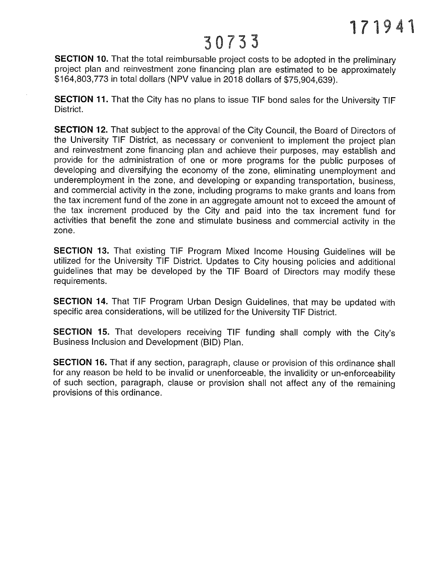SECTION 10. That the total reimbursable project costs to be adopted in the preliminary project plan and reinvestment zone financing plan are estimated to be approximately \$164,803,773 in total dollars (NPV value in 2018 dollars of \$75,904,639).

SECTION 11. That the City has no plans to issue TIE bond sales for the University TIE District.

**SECTION 12.** That subject to the approval of the City Council, the Board of Directors of the University TIE District, as necessary or convenient to implement the project plan and reinvestment zone financing plan and achieve their purposes, may establish and provide for the administration of one or more programs for the public purposes of developing and diversifying the economy of the zone, eliminating unemployment and underemployment in the zone, and developing or expanding transportation, business, and commercial activity in the zone, including programs to make grants and loans from the tax increment fund of the zone in an aggregate amount not to exceed the amount of the tax increment produced by the City and paid into the tax increment fund for activities that benefit the zone and stimulate business and commercial activity in the zone.

SECTION 13. That existing TIE Program Mixed Income Housing Guidelines will be utilized for the University TIE District. Updates to City housing policies and additional guidelines that may be developed by the TIE Board of Directors may modify these requirements.

SECTION 14. That TIF Program Urban Design Guidelines, that may be updated with specific area considerations, will be utilized for the University TIE District.

SECTION 15. That developers receiving TIE funding shall comply with the City's Business Inclusion and Development (BID) Plan.

SECTION 16. That if any section, paragraph, clause or provision of this ordinance shall for any reason be held to be invalid or unenforceable, the invalidity or un-enforceability of such section, paragraph, clause or provision shall not affect any of the remaining provisions of this ordinance.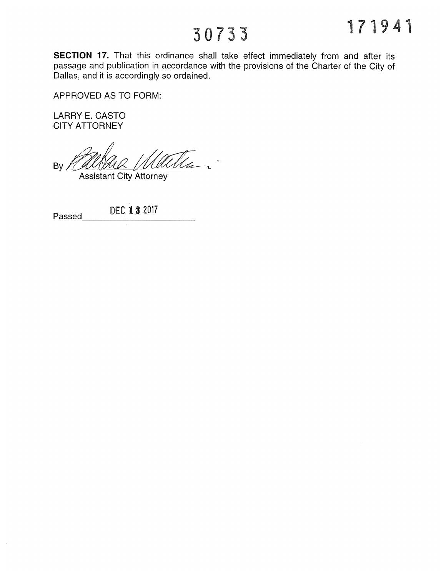SECTION 17. That this ordinance shall take effect immediately from and after its passage and publication in accordance with the provisions of the Charter of the City of Dallas, and it is accordingly so ordained.

APPROVED AS TO FORM:

LARRY E. CASTO CITY ATTORNEY

<u>'Hte</u> By

**Assistant City Attorney** 

| Paccan | $\sim$ | DFC 13 2017 |
|--------|--------|-------------|
|        |        |             |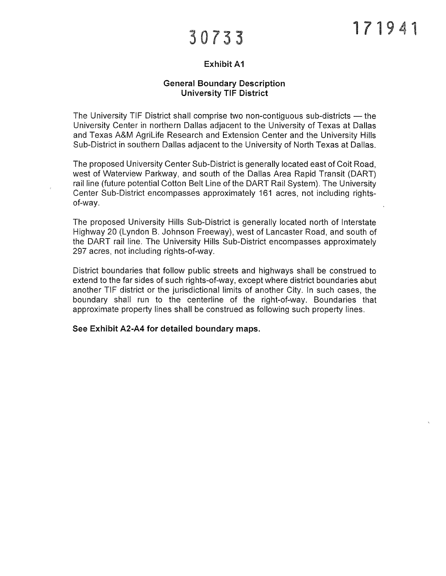### Exhibit Al

#### General Boundary Description University TIE District

The University TIE District shall comprise two non-contiguous sub-districts — the University Center in northern Dallas adjacent to the University of Texas at Dallas and Texas A&M AgriLife Research and Extension Center and the University Hills Sub-District in southern Dallas adjacent to the University of North Texas at Dallas.

The proposed University Center Sub-District is generally located east of Coit Road, west of Waterview Parkway, and south of the Dallas Area Rapid Transit (DART) rail line (future potential Cotton Belt Line of the DART Rail System). The University Center Sub-District encompasses approximately 161 acres, not including rightsof-way.

The proposed University Hills Sub-District is generally located north of Interstate Highway 20 (Lyndon B. Johnson Freeway), west of Lancaster Road, and south of the DART rail line. The University Hills Sub-District encompasses approximately 297 acres, not including rights-of-way.

District boundaries that follow public streets and highways shall be construed to extend to the far sides of such rights-of-way, except where district boundaries abut another TIE district or the jurisdictional limits of another City. In such cases, the boundary shall run to the centerline of the right-of-way. Boundaries that approximate property lines shall be construed as following such property lines.

See Exhibit A2-A4 for detailed boundary maps.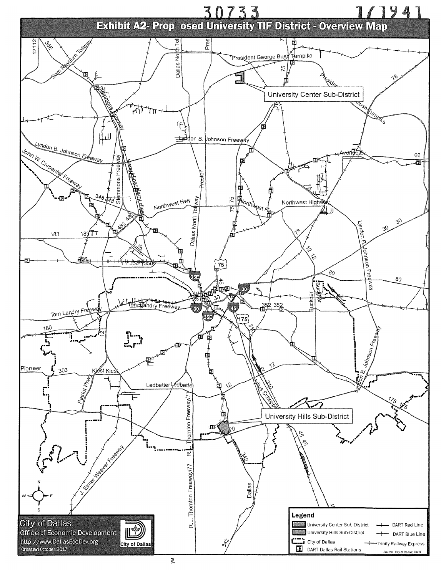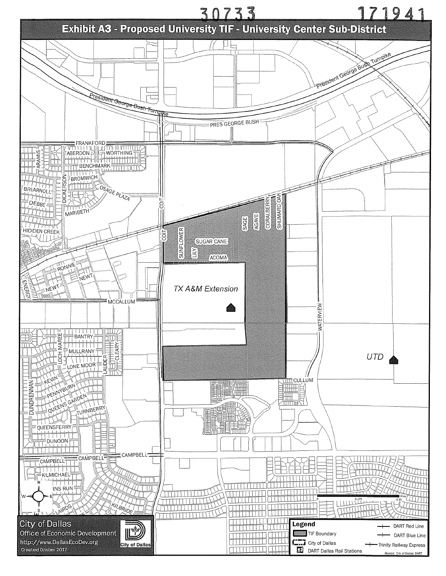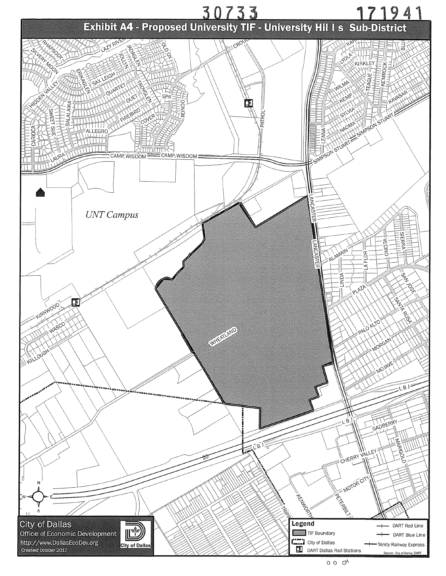